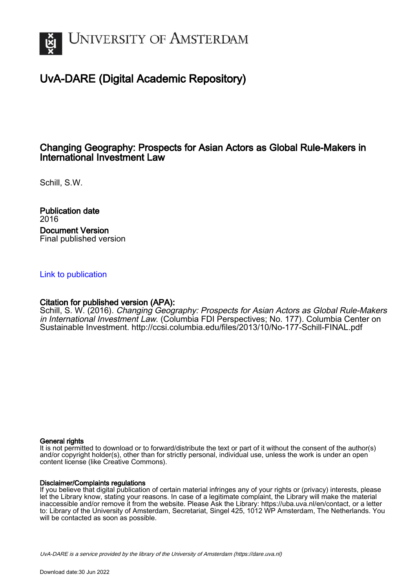

## UvA-DARE (Digital Academic Repository)

## Changing Geography: Prospects for Asian Actors as Global Rule-Makers in International Investment Law

Schill, S.W.

Publication date 2016 Document Version Final published version

### [Link to publication](https://dare.uva.nl/personal/pure/en/publications/changing-geography-prospects-for-asian-actors-as-global-rulemakers-in-international-investment-law(455d5577-43ae-4e6a-a0e4-0b6afbc412c9).html)

### Citation for published version (APA):

Schill, S. W. (2016). Changing Geography: Prospects for Asian Actors as Global Rule-Makers in International Investment Law. (Columbia FDI Perspectives; No. 177). Columbia Center on Sustainable Investment.<http://ccsi.columbia.edu/files/2013/10/No-177-Schill-FINAL.pdf>

#### General rights

It is not permitted to download or to forward/distribute the text or part of it without the consent of the author(s) and/or copyright holder(s), other than for strictly personal, individual use, unless the work is under an open content license (like Creative Commons).

#### Disclaimer/Complaints regulations

If you believe that digital publication of certain material infringes any of your rights or (privacy) interests, please let the Library know, stating your reasons. In case of a legitimate complaint, the Library will make the material inaccessible and/or remove it from the website. Please Ask the Library: https://uba.uva.nl/en/contact, or a letter to: Library of the University of Amsterdam, Secretariat, Singel 425, 1012 WP Amsterdam, The Netherlands. You will be contacted as soon as possible.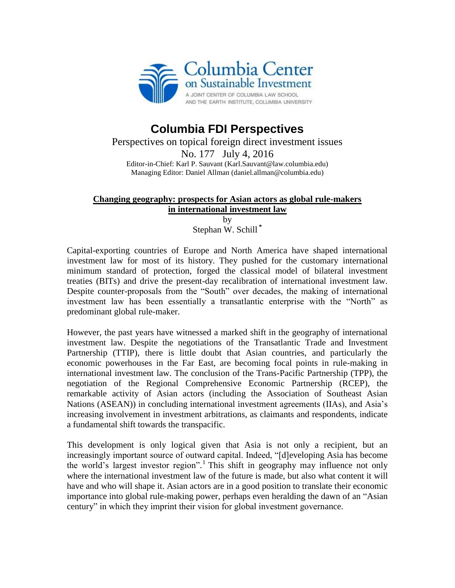

# **Columbia FDI Perspectives**

Perspectives on topical foreign direct investment issues No. 177 July 4, 2016 Editor-in-Chief: Karl P. Sauvant (Karl.Sauvant@law.columbia.edu) Managing Editor: Daniel Allman (daniel.allman@columbia.edu)

## **Changing geography: prospects for Asian actors as global rule-makers in international investment law**

by Stephan W. Schill **\***

Capital-exporting countries of Europe and North America have shaped international investment law for most of its history. They pushed for the customary international minimum standard of protection, forged the classical model of bilateral investment treaties (BITs) and drive the present-day recalibration of international investment law. Despite counter-proposals from the "South" over decades, the making of international investment law has been essentially a transatlantic enterprise with the "North" as predominant global rule-maker.

However, the past years have witnessed a marked shift in the geography of international investment law. Despite the negotiations of the Transatlantic Trade and Investment Partnership (TTIP), there is little doubt that Asian countries, and particularly the economic powerhouses in the Far East, are becoming focal points in rule-making in international investment law. The conclusion of the Trans-Pacific Partnership (TPP), the negotiation of the Regional Comprehensive Economic Partnership (RCEP), the remarkable activity of Asian actors (including the Association of Southeast Asian Nations (ASEAN)) in concluding international investment agreements (IIAs), and Asia's increasing involvement in investment arbitrations, as claimants and respondents, indicate a fundamental shift towards the transpacific.

This development is only logical given that Asia is not only a recipient, but an increasingly important source of outward capital. Indeed, "[d]eveloping Asia has become the world's largest investor region". 1 This shift in geography may influence not only where the international investment law of the future is made, but also what content it will have and who will shape it. Asian actors are in a good position to translate their economic importance into global rule-making power, perhaps even heralding the dawn of an "Asian century" in which they imprint their vision for global investment governance.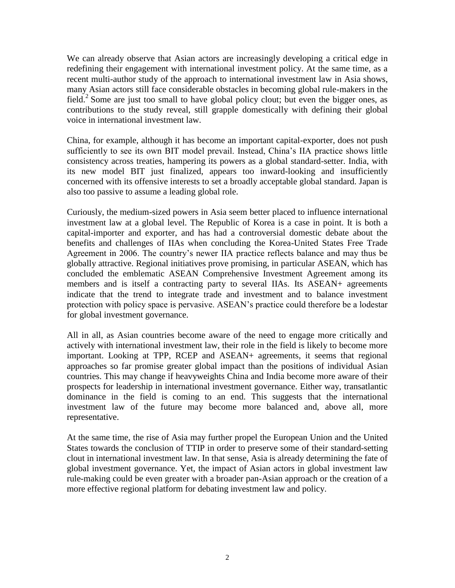We can already observe that Asian actors are increasingly developing a critical edge in redefining their engagement with international investment policy. At the same time, as a recent multi-author study of the approach to international investment law in Asia shows, many Asian actors still face considerable obstacles in becoming global rule-makers in the field.<sup>2</sup> Some are just too small to have global policy clout; but even the bigger ones, as contributions to the study reveal, still grapple domestically with defining their global voice in international investment law.

China, for example, although it has become an important capital-exporter, does not push sufficiently to see its own BIT model prevail. Instead, China's IIA practice shows little consistency across treaties, hampering its powers as a global standard-setter. India, with its new model BIT just finalized, appears too inward-looking and insufficiently concerned with its offensive interests to set a broadly acceptable global standard. Japan is also too passive to assume a leading global role.

Curiously, the medium-sized powers in Asia seem better placed to influence international investment law at a global level. The Republic of Korea is a case in point. It is both a capital-importer and exporter, and has had a controversial domestic debate about the benefits and challenges of IIAs when concluding the Korea-United States Free Trade Agreement in 2006. The country's newer IIA practice reflects balance and may thus be globally attractive. Regional initiatives prove promising, in particular ASEAN, which has concluded the emblematic ASEAN Comprehensive Investment Agreement among its members and is itself a contracting party to several IIAs. Its ASEAN+ agreements indicate that the trend to integrate trade and investment and to balance investment protection with policy space is pervasive. ASEAN's practice could therefore be a lodestar for global investment governance.

All in all, as Asian countries become aware of the need to engage more critically and actively with international investment law, their role in the field is likely to become more important. Looking at TPP, RCEP and ASEAN+ agreements, it seems that regional approaches so far promise greater global impact than the positions of individual Asian countries. This may change if heavyweights China and India become more aware of their prospects for leadership in international investment governance. Either way, transatlantic dominance in the field is coming to an end. This suggests that the international investment law of the future may become more balanced and, above all, more representative.

At the same time, the rise of Asia may further propel the European Union and the United States towards the conclusion of TTIP in order to preserve some of their standard-setting clout in international investment law. In that sense, Asia is already determining the fate of global investment governance. Yet, the impact of Asian actors in global investment law rule-making could be even greater with a broader pan-Asian approach or the creation of a more effective regional platform for debating investment law and policy.